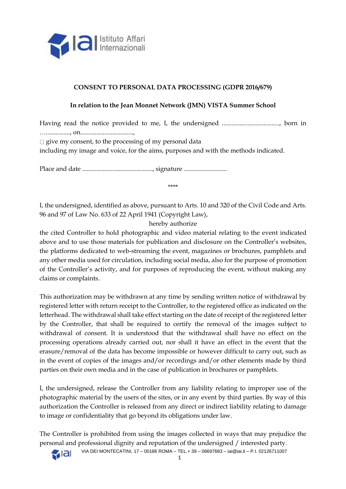

# **CONSENT TO PERSONAL DATA PROCESSING (GDPR 2016/679)**

### **In relation to the Jean Monnet Network (JMN) VISTA Summer School**

Having read the notice provided to me, I, the undersigned ...................................., born in …..............., on.................................,  $\Box$  give my consent, to the processing of my personal data including my image and voice, for the aims, purposes and with the methods indicated.

Place and date ............................................, signature ...........................

\*\*\*\*

I, the undersigned, identified as above, pursuant to Arts. 10 and 320 of the Civil Code and Arts. 96 and 97 of Law No. 633 of 22 April 1941 (Copyright Law),

hereby authorize

the cited Controller to hold photographic and video material relating to the event indicated above and to use those materials for publication and disclosure on the Controller's websites, the platforms dedicated to web-streaming the event, magazines or brochures, pamphlets and any other media used for circulation, including social media, also for the purpose of promotion of the Controller's activity, and for purposes of reproducing the event, without making any claims or complaints.

This authorization may be withdrawn at any time by sending written notice of withdrawal by registered letter with return receipt to the Controller, to the registered office as indicated on the letterhead. The withdrawal shall take effect starting on the date of receipt of the registered letter by the Controller, that shall be required to certify the removal of the images subject to withdrawal of consent. It is understood that the withdrawal shall have no effect on the processing operations already carried out, nor shall it have an effect in the event that the erasure/removal of the data has become impossible or however difficult to carry out, such as in the event of copies of the images and/or recordings and/or other elements made by third parties on their own media and in the case of publication in brochures or pamphlets.

I, the undersigned, release the Controller from any liability relating to improper use of the photographic material by the users of the sites, or in any event by third parties. By way of this authorization the Controller is released from any direct or indirect liability relating to damage to image or confidentiality that go beyond its obligations under law.

The Controller is prohibited from using the images collected in ways that may prejudice the personal and professional dignity and reputation of the undersigned / interested party.



VIA DEI MONTECATINI, 17 – 00186 ROMA – TEL.+ 39 – 06697683 – iai@iai.it – P.I. 02126711007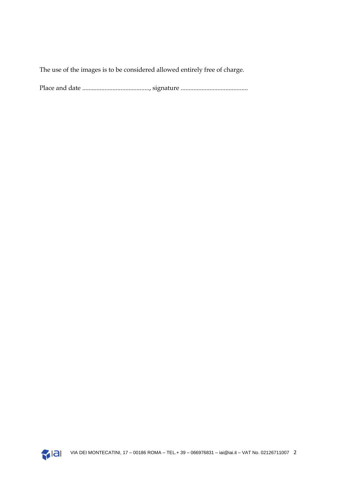The use of the images is to be considered allowed entirely free of charge.

Place and date .........................................., signature ..........................................

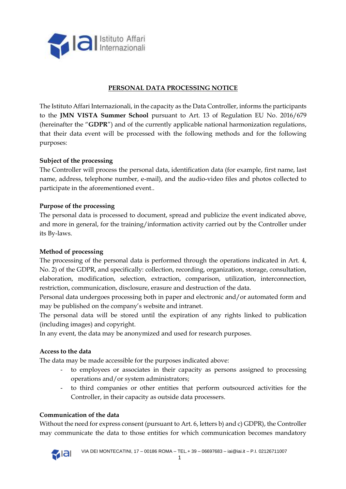

# **PERSONAL DATA PROCESSING NOTICE**

The Istituto Affari Internazionali, in the capacity as the Data Controller, informs the participants to the **JMN VISTA Summer School** pursuant to Art. 13 of Regulation EU No. 2016/679 (hereinafter the "**GDPR**") and of the currently applicable national harmonization regulations, that their data event will be processed with the following methods and for the following purposes:

### **Subject of the processing**

The Controller will process the personal data, identification data (for example, first name, last name, address, telephone number, e-mail), and the audio-video files and photos collected to participate in the aforementioned event..

#### **Purpose of the processing**

The personal data is processed to document, spread and publicize the event indicated above, and more in general, for the training/information activity carried out by the Controller under its By-laws.

#### **Method of processing**

The processing of the personal data is performed through the operations indicated in Art. 4, No. 2) of the GDPR, and specifically: collection, recording, organization, storage, consultation, elaboration, modification, selection, extraction, comparison, utilization, interconnection, restriction, communication, disclosure, erasure and destruction of the data.

Personal data undergoes processing both in paper and electronic and/or automated form and may be published on the company's website and intranet.

The personal data will be stored until the expiration of any rights linked to publication (including images) and copyright.

In any event, the data may be anonymized and used for research purposes.

#### **Access to the data**

The data may be made accessible for the purposes indicated above:

- to employees or associates in their capacity as persons assigned to processing operations and/or system administrators;
- to third companies or other entities that perform outsourced activities for the Controller, in their capacity as outside data processers.

#### **Communication of the data**

Without the need for express consent (pursuant to Art. 6, letters b) and c) GDPR), the Controller may communicate the data to those entities for which communication becomes mandatory

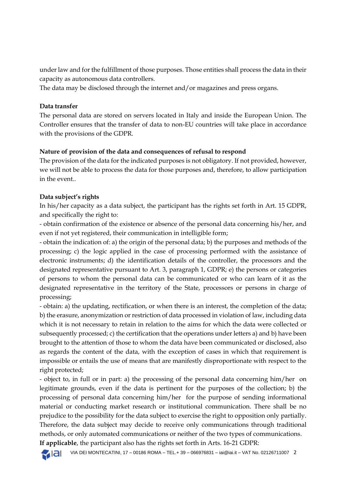under law and for the fulfillment of those purposes. Those entities shall process the data in their capacity as autonomous data controllers.

The data may be disclosed through the internet and/or magazines and press organs.

# **Data transfer**

The personal data are stored on servers located in Italy and inside the European Union. The Controller ensures that the transfer of data to non-EU countries will take place in accordance with the provisions of the GDPR.

# **Nature of provision of the data and consequences of refusal to respond**

The provision of the data for the indicated purposes is not obligatory. If not provided, however, we will not be able to process the data for those purposes and, therefore, to allow participation in the event..

### **Data subject's rights**

In his/her capacity as a data subject, the participant has the rights set forth in Art. 15 GDPR, and specifically the right to:

- obtain confirmation of the existence or absence of the personal data concerning his/her, and even if not yet registered, their communication in intelligible form;

- obtain the indication of: a) the origin of the personal data; b) the purposes and methods of the processing; c) the logic applied in the case of processing performed with the assistance of electronic instruments; d) the identification details of the controller, the processors and the designated representative pursuant to Art. 3, paragraph 1, GDPR; e) the persons or categories of persons to whom the personal data can be communicated or who can learn of it as the designated representative in the territory of the State, processors or persons in charge of processing;

- obtain: a) the updating, rectification, or when there is an interest, the completion of the data; b) the erasure, anonymization or restriction of data processed in violation of law, including data which it is not necessary to retain in relation to the aims for which the data were collected or subsequently processed; c) the certification that the operations under letters a) and b) have been brought to the attention of those to whom the data have been communicated or disclosed, also as regards the content of the data, with the exception of cases in which that requirement is impossible or entails the use of means that are manifestly disproportionate with respect to the right protected;

- object to, in full or in part: a) the processing of the personal data concerning him/her on legitimate grounds, even if the data is pertinent for the purposes of the collection; b) the processing of personal data concerning him/her for the purpose of sending informational material or conducting market research or institutional communication. There shall be no prejudice to the possibility for the data subject to exercise the right to opposition only partially. Therefore, the data subject may decide to receive only communications through traditional methods, or only automated communications or neither of the two types of communications.

**If applicable**, the participant also has the rights set forth in Arts. 16-21 GDPR:

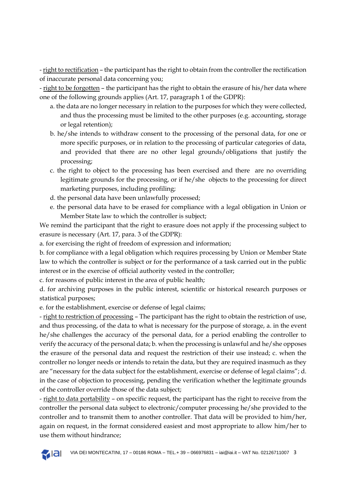- right to rectification – the participant has the right to obtain from the controller the rectification of inaccurate personal data concerning you;

- right to be forgotten – the participant has the right to obtain the erasure of his/her data where one of the following grounds applies (Art. 17, paragraph 1 of the GDPR):

- a. the data are no longer necessary in relation to the purposes for which they were collected, and thus the processing must be limited to the other purposes (e.g. accounting, storage or legal retention);
- b. he/she intends to withdraw consent to the processing of the personal data, for one or more specific purposes, or in relation to the processing of particular categories of data, and provided that there are no other legal grounds/obligations that justify the processing;
- c. the right to object to the processing has been exercised and there are no overriding legitimate grounds for the processing, or if he/she objects to the processing for direct marketing purposes, including profiling;
- d. the personal data have been unlawfully processed;
- e. the personal data have to be erased for compliance with a legal obligation in Union or Member State law to which the controller is subject;

We remind the participant that the right to erasure does not apply if the processing subject to erasure is necessary (Art. 17, para. 3 of the GDPR):

a. for exercising the right of freedom of expression and information;

b. for compliance with a legal obligation which requires processing by Union or Member State law to which the controller is subject or for the performance of a task carried out in the public interest or in the exercise of official authority vested in the controller;

c. for reasons of public interest in the area of public health;

d. for archiving purposes in the public interest, scientific or historical research purposes or statistical purposes;

e. for the establishment, exercise or defense of legal claims;

- right to restriction of processing - The participant has the right to obtain the restriction of use, and thus processing, of the data to what is necessary for the purpose of storage, a. in the event he/she challenges the accuracy of the personal data, for a period enabling the controller to verify the accuracy of the personal data; b. when the processing is unlawful and he/she opposes the erasure of the personal data and request the restriction of their use instead; c. when the controller no longer needs or intends to retain the data, but they are required inasmuch as they are "necessary for the data subject for the establishment, exercise or defense of legal claims"; d. in the case of objection to processing, pending the verification whether the legitimate grounds of the controller override those of the data subject;

- right to data portability – on specific request, the participant has the right to receive from the controller the personal data subject to electronic/computer processing he/she provided to the controller and to transmit them to another controller. That data will be provided to him/her, again on request, in the format considered easiest and most appropriate to allow him/her to use them without hindrance;